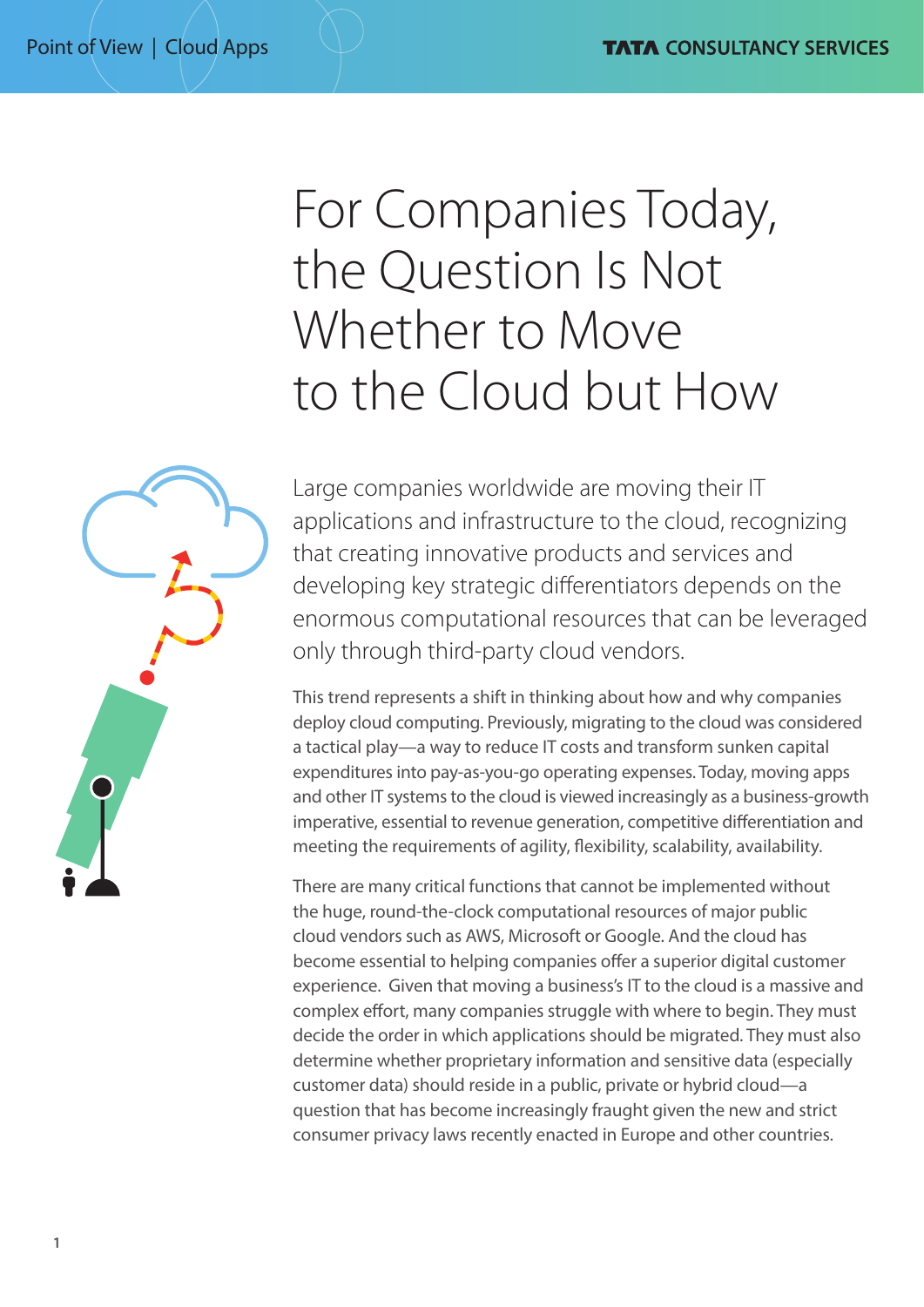# For Companies Today, the Question Is Not Whether to Move to the Cloud but How

Large companies worldwide are moving their IT applications and infrastructure to the cloud, recognizing that creating innovative products and services and developing key strategic differentiators depends on the enormous computational resources that can be leveraged only through third-party cloud vendors.

This trend represents a shift in thinking about how and why companies deploy cloud computing. Previously, migrating to the cloud was considered a tactical play—a way to reduce IT costs and transform sunken capital expenditures into pay-as-you-go operating expenses. Today, moving apps and other IT systems to the cloud is viewed increasingly as a business-growth imperative, essential to revenue generation, competitive differentiation and meeting the requirements of agility, flexibility, scalability, availability.

There are many critical functions that cannot be implemented without the huge, round-the-clock computational resources of major public cloud vendors such as AWS, Microsoft or Google. And the cloud has become essential to helping companies offer a superior digital customer experience. Given that moving a business's IT to the cloud is a massive and complex effort, many companies struggle with where to begin. They must decide the order in which applications should be migrated. They must also determine whether proprietary information and sensitive data (especially customer data) should reside in a public, private or hybrid cloud—a question that has become increasingly fraught given the new and strict consumer privacy laws recently enacted in Europe and other countries.

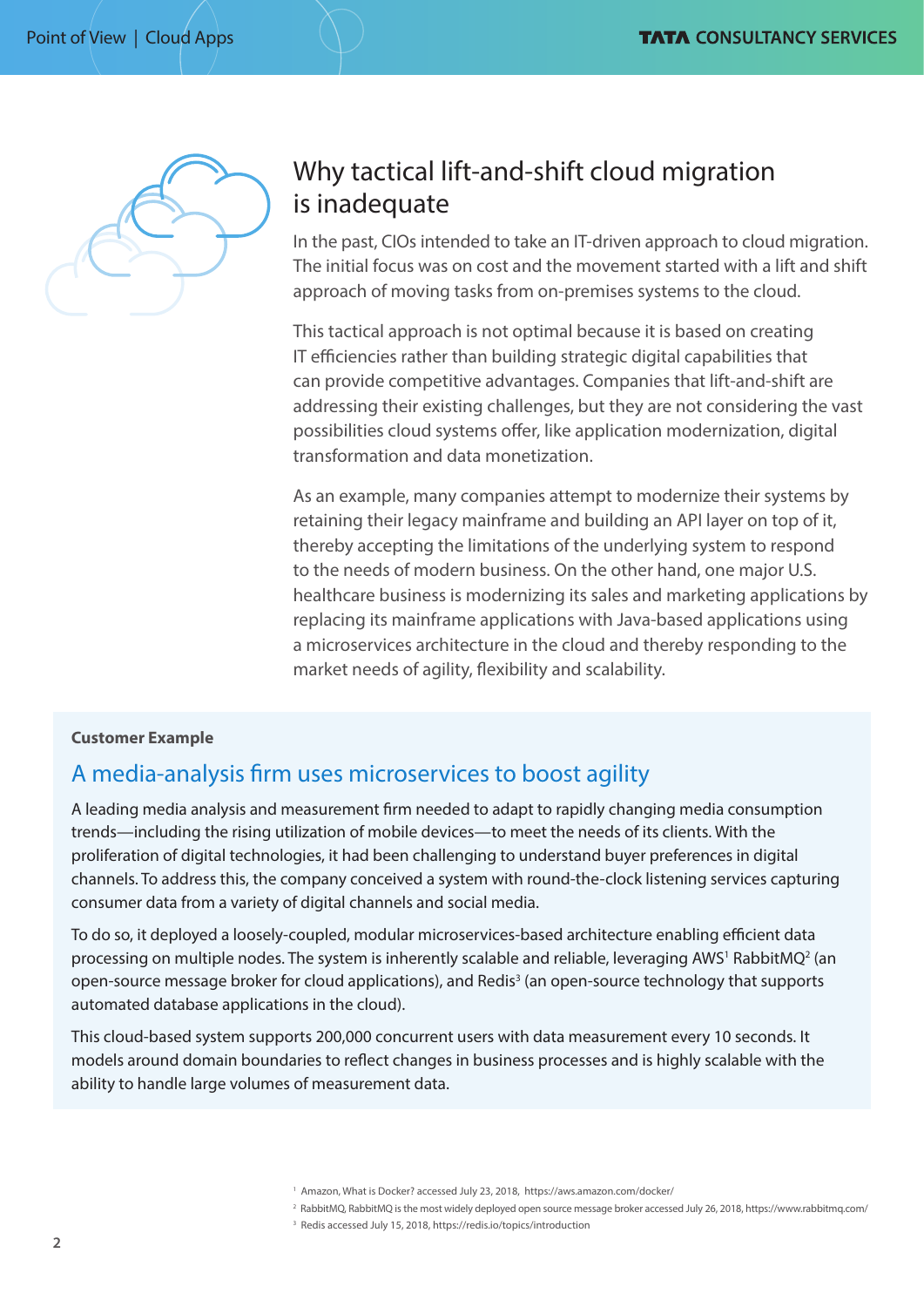

# Why tactical lift-and-shift cloud migration is inadequate

In the past, CIOs intended to take an IT-driven approach to cloud migration. The initial focus was on cost and the movement started with a lift and shift approach of moving tasks from on-premises systems to the cloud.

This tactical approach is not optimal because it is based on creating IT efficiencies rather than building strategic digital capabilities that can provide competitive advantages. Companies that lift-and-shift are addressing their existing challenges, but they are not considering the vast possibilities cloud systems offer, like application modernization, digital transformation and data monetization.

As an example, many companies attempt to modernize their systems by retaining their legacy mainframe and building an API layer on top of it, thereby accepting the limitations of the underlying system to respond to the needs of modern business. On the other hand, one major U.S. healthcare business is modernizing its sales and marketing applications by replacing its mainframe applications with Java-based applications using a microservices architecture in the cloud and thereby responding to the market needs of agility, flexibility and scalability.

#### **Customer Example**

# A media-analysis firm uses microservices to boost agility

A leading media analysis and measurement firm needed to adapt to rapidly changing media consumption trends—including the rising utilization of mobile devices—to meet the needs of its clients. With the proliferation of digital technologies, it had been challenging to understand buyer preferences in digital channels. To address this, the company conceived a system with round-the-clock listening services capturing consumer data from a variety of digital channels and social media.

To do so, it deployed a loosely-coupled, modular microservices-based architecture enabling efficient data processing on multiple nodes. The system is inherently scalable and reliable, leveraging AWS<sup>1</sup> RabbitMQ<sup>2</sup> (an open-source message broker for cloud applications), and Redis<sup>3</sup> (an open-source technology that supports automated database applications in the cloud).

This cloud-based system supports 200,000 concurrent users with data measurement every 10 seconds. It models around domain boundaries to reflect changes in business processes and is highly scalable with the ability to handle large volumes of measurement data.

3 Redis accessed July 15, 2018, https://redis.io/topics/introduction

<sup>&</sup>lt;sup>1</sup> Amazon, What is Docker? accessed July 23, 2018, https://aws.amazon.com/docker/

<sup>2</sup> RabbitMQ, RabbitMQ is the most widely deployed open source message broker accessed July 26, 2018, https://www.rabbitmq.com/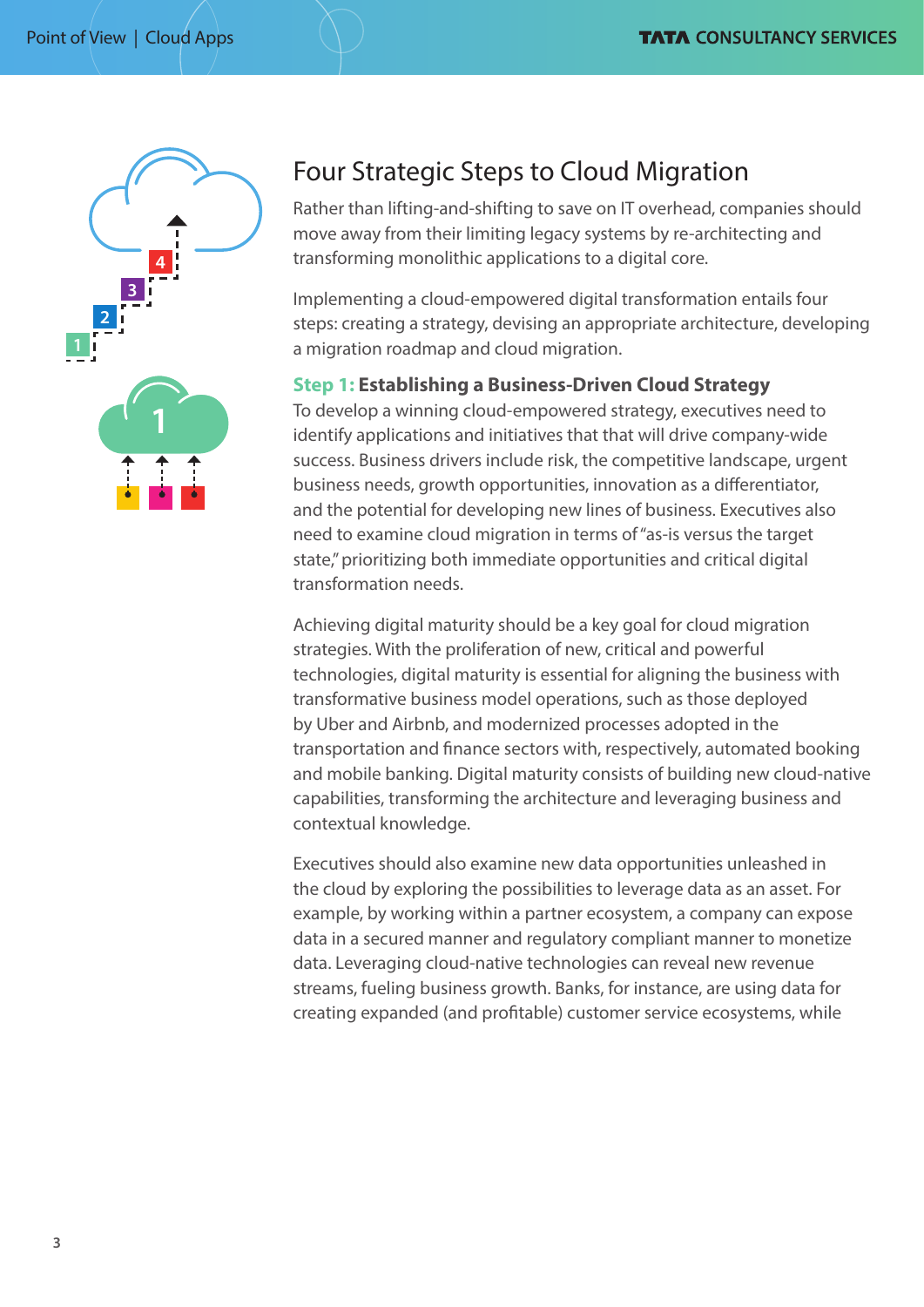

# Four Strategic Steps to Cloud Migration

Rather than lifting-and-shifting to save on IT overhead, companies should move away from their limiting legacy systems by re-architecting and transforming monolithic applications to a digital core.

Implementing a cloud-empowered digital transformation entails four steps: creating a strategy, devising an appropriate architecture, developing a migration roadmap and cloud migration.

#### **Step 1: Establishing a Business-Driven Cloud Strategy**

To develop a winning cloud-empowered strategy, executives need to identify applications and initiatives that that will drive company-wide success. Business drivers include risk, the competitive landscape, urgent business needs, growth opportunities, innovation as a differentiator, and the potential for developing new lines of business. Executives also need to examine cloud migration in terms of "as-is versus the target state," prioritizing both immediate opportunities and critical digital transformation needs.

Achieving digital maturity should be a key goal for cloud migration strategies. With the proliferation of new, critical and powerful technologies, digital maturity is essential for aligning the business with transformative business model operations, such as those deployed by Uber and Airbnb, and modernized processes adopted in the transportation and finance sectors with, respectively, automated booking and mobile banking. Digital maturity consists of building new cloud-native capabilities, transforming the architecture and leveraging business and contextual knowledge.

Executives should also examine new data opportunities unleashed in the cloud by exploring the possibilities to leverage data as an asset. For example, by working within a partner ecosystem, a company can expose data in a secured manner and regulatory compliant manner to monetize data. Leveraging cloud-native technologies can reveal new revenue streams, fueling business growth. Banks, for instance, are using data for creating expanded (and profitable) customer service ecosystems, while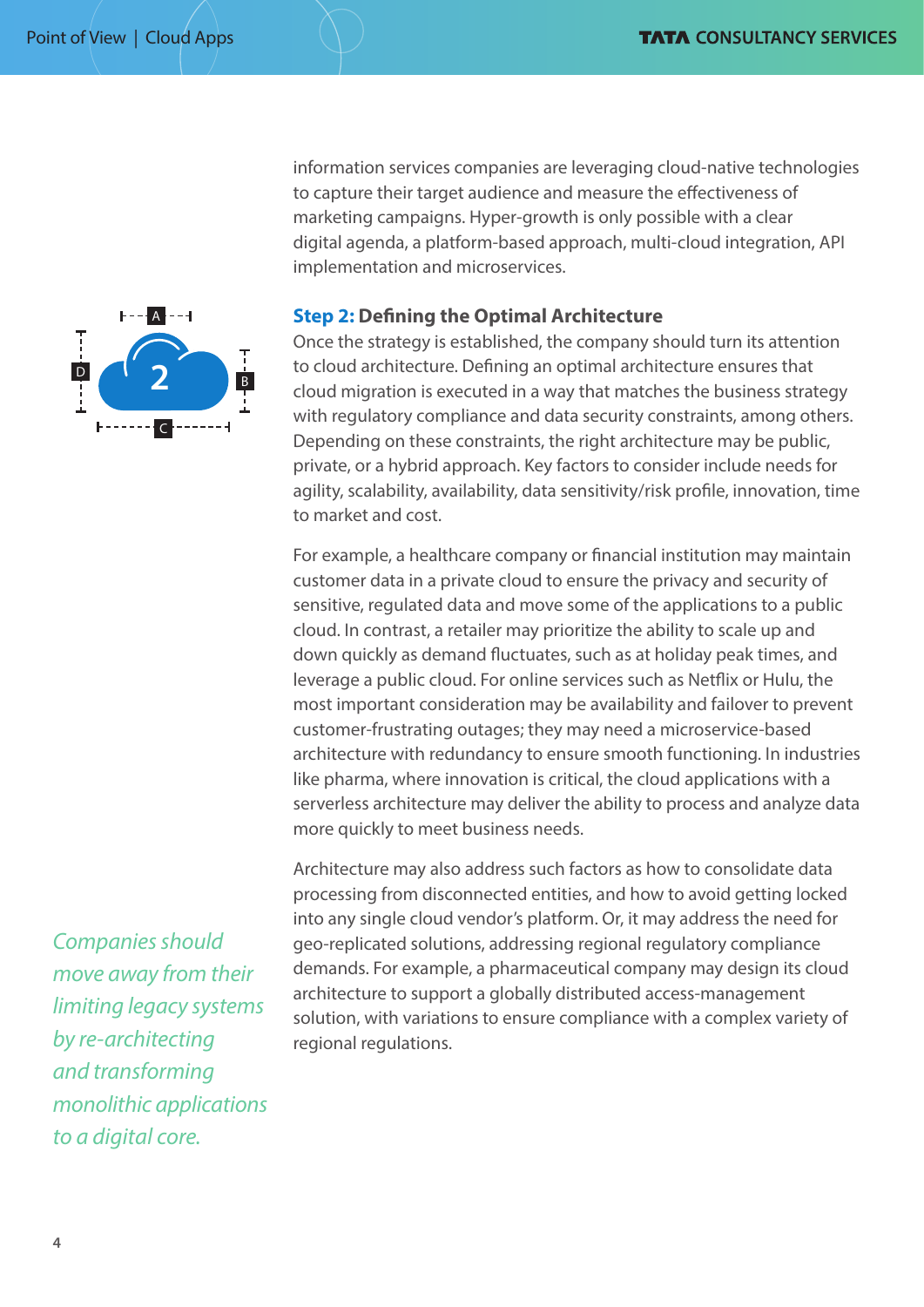

information services companies are leveraging cloud-native technologies to capture their target audience and measure the effectiveness of marketing campaigns. Hyper-growth is only possible with a clear digital agenda, a platform-based approach, multi-cloud integration, API implementation and microservices.

#### **Step 2: Defining the Optimal Architecture**

Once the strategy is established, the company should turn its attention to cloud architecture. Defining an optimal architecture ensures that cloud migration is executed in a way that matches the business strategy with regulatory compliance and data security constraints, among others. Depending on these constraints, the right architecture may be public, private, or a hybrid approach. Key factors to consider include needs for agility, scalability, availability, data sensitivity/risk profile, innovation, time to market and cost.

For example, a healthcare company or financial institution may maintain customer data in a private cloud to ensure the privacy and security of sensitive, regulated data and move some of the applications to a public cloud. In contrast, a retailer may prioritize the ability to scale up and down quickly as demand fluctuates, such as at holiday peak times, and leverage a public cloud. For online services such as Netflix or Hulu, the most important consideration may be availability and failover to prevent customer-frustrating outages; they may need a microservice-based architecture with redundancy to ensure smooth functioning. In industries like pharma, where innovation is critical, the cloud applications with a serverless architecture may deliver the ability to process and analyze data more quickly to meet business needs.

Architecture may also address such factors as how to consolidate data processing from disconnected entities, and how to avoid getting locked into any single cloud vendor's platform. Or, it may address the need for geo-replicated solutions, addressing regional regulatory compliance demands. For example, a pharmaceutical company may design its cloud architecture to support a globally distributed access-management solution, with variations to ensure compliance with a complex variety of regional regulations.

*Companies should move away from their limiting legacy systems by re-architecting and transforming monolithic applications to a digital core.*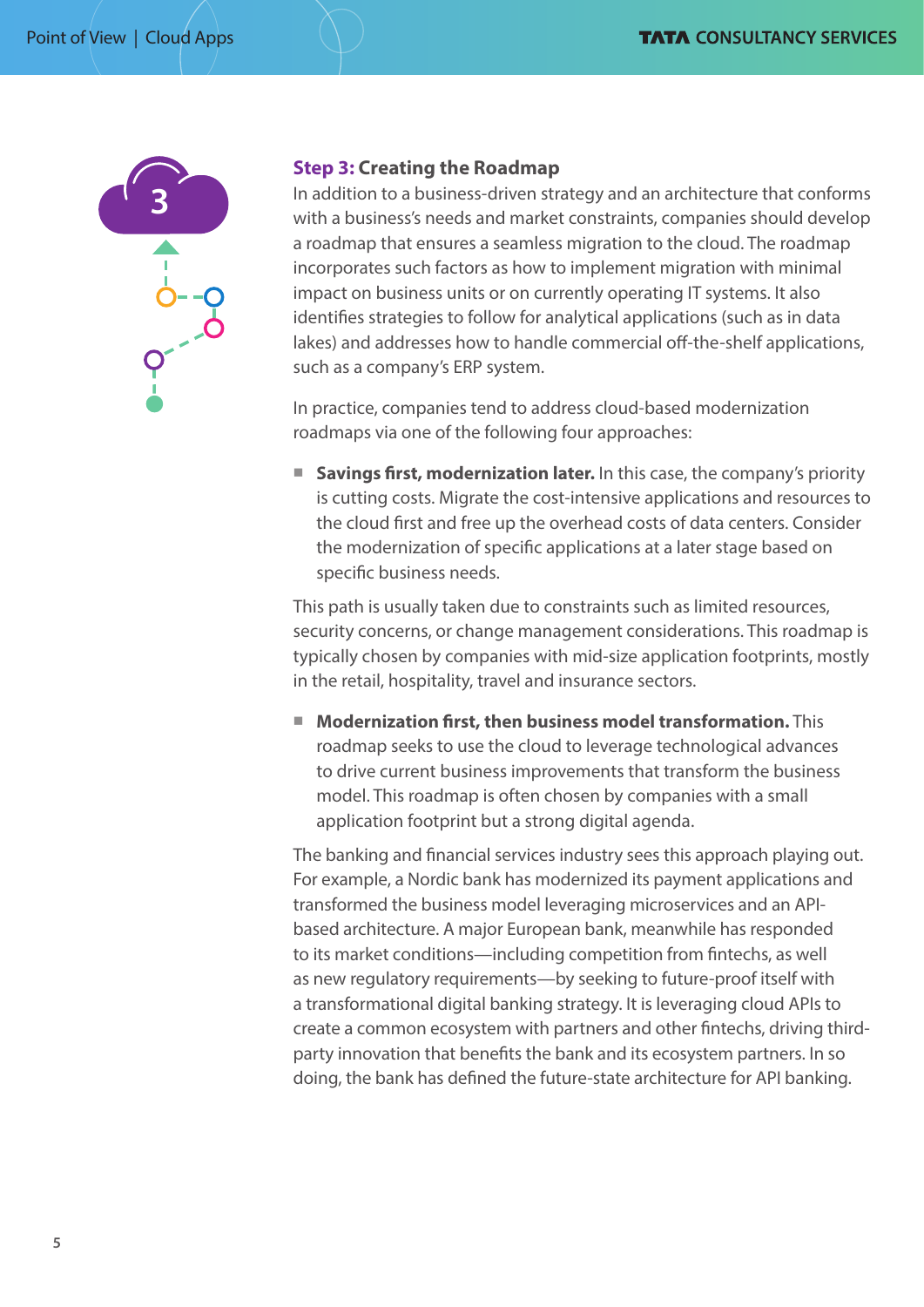

### **Step 3: Creating the Roadmap**

In addition to a business-driven strategy and an architecture that conforms with a business's needs and market constraints, companies should develop a roadmap that ensures a seamless migration to the cloud. The roadmap incorporates such factors as how to implement migration with minimal impact on business units or on currently operating IT systems. It also identifies strategies to follow for analytical applications (such as in data lakes) and addresses how to handle commercial off-the-shelf applications, such as a company's ERP system.

In practice, companies tend to address cloud-based modernization roadmaps via one of the following four approaches:

**E** Savings first, modernization later. In this case, the company's priority is cutting costs. Migrate the cost-intensive applications and resources to the cloud first and free up the overhead costs of data centers. Consider the modernization of specific applications at a later stage based on specific business needs.

This path is usually taken due to constraints such as limited resources, security concerns, or change management considerations. This roadmap is typically chosen by companies with mid-size application footprints, mostly in the retail, hospitality, travel and insurance sectors.

■ **Modernization first, then business model transformation.** This roadmap seeks to use the cloud to leverage technological advances to drive current business improvements that transform the business model. This roadmap is often chosen by companies with a small application footprint but a strong digital agenda.

The banking and financial services industry sees this approach playing out. For example, a Nordic bank has modernized its payment applications and transformed the business model leveraging microservices and an APIbased architecture. A major European bank, meanwhile has responded to its market conditions—including competition from fintechs, as well as new regulatory requirements—by seeking to future-proof itself with a transformational digital banking strategy. It is leveraging cloud APIs to create a common ecosystem with partners and other fintechs, driving thirdparty innovation that benefits the bank and its ecosystem partners. In so doing, the bank has defined the future-state architecture for API banking.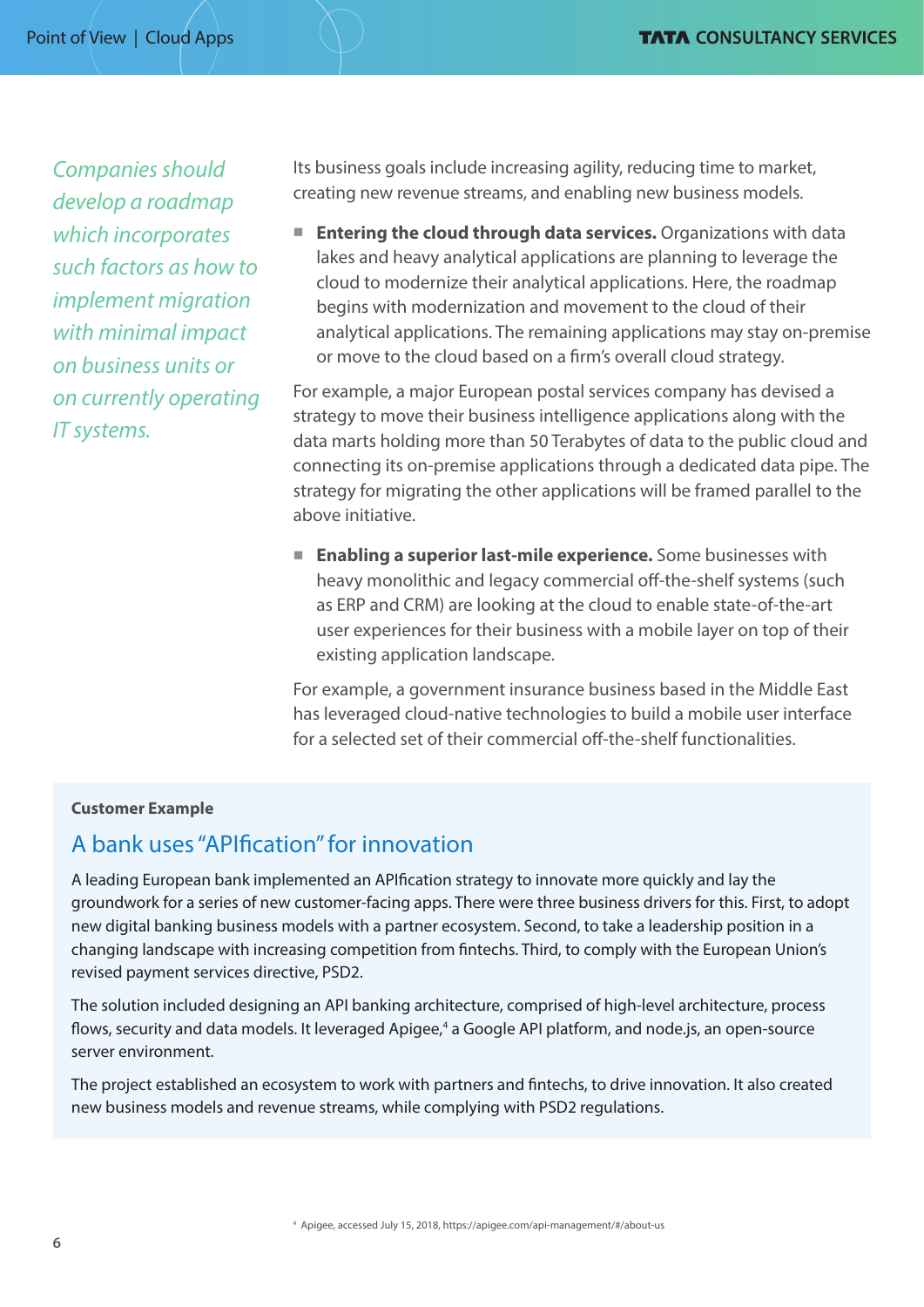*Companies should develop a roadmap which incorporates such factors as how to implement migration with minimal impact on business units or on currently operating IT systems.*

Its business goals include increasing agility, reducing time to market, creating new revenue streams, and enabling new business models.

■ **Entering the cloud through data services.** Organizations with data lakes and heavy analytical applications are planning to leverage the cloud to modernize their analytical applications. Here, the roadmap begins with modernization and movement to the cloud of their analytical applications. The remaining applications may stay on-premise or move to the cloud based on a firm's overall cloud strategy.

For example, a major European postal services company has devised a strategy to move their business intelligence applications along with the data marts holding more than 50 Terabytes of data to the public cloud and connecting its on-premise applications through a dedicated data pipe. The strategy for migrating the other applications will be framed parallel to the above initiative.

**Enabling a superior last-mile experience.** Some businesses with heavy monolithic and legacy commercial off-the-shelf systems (such as ERP and CRM) are looking at the cloud to enable state-of-the-art user experiences for their business with a mobile layer on top of their existing application landscape.

For example, a government insurance business based in the Middle East has leveraged cloud-native technologies to build a mobile user interface for a selected set of their commercial off-the-shelf functionalities.

#### **Customer Example**

## A bank uses "APIfication" for innovation

A leading European bank implemented an APIfication strategy to innovate more quickly and lay the groundwork for a series of new customer-facing apps. There were three business drivers for this. First, to adopt new digital banking business models with a partner ecosystem. Second, to take a leadership position in a changing landscape with increasing competition from fintechs. Third, to comply with the European Union's revised payment services directive, PSD2.

The solution included designing an API banking architecture, comprised of high-level architecture, process flows, security and data models. It leveraged Apigee,<sup>4</sup> a Google API platform, and node.js, an open-source server environment.

The project established an ecosystem to work with partners and fintechs, to drive innovation. It also created new business models and revenue streams, while complying with PSD2 regulations.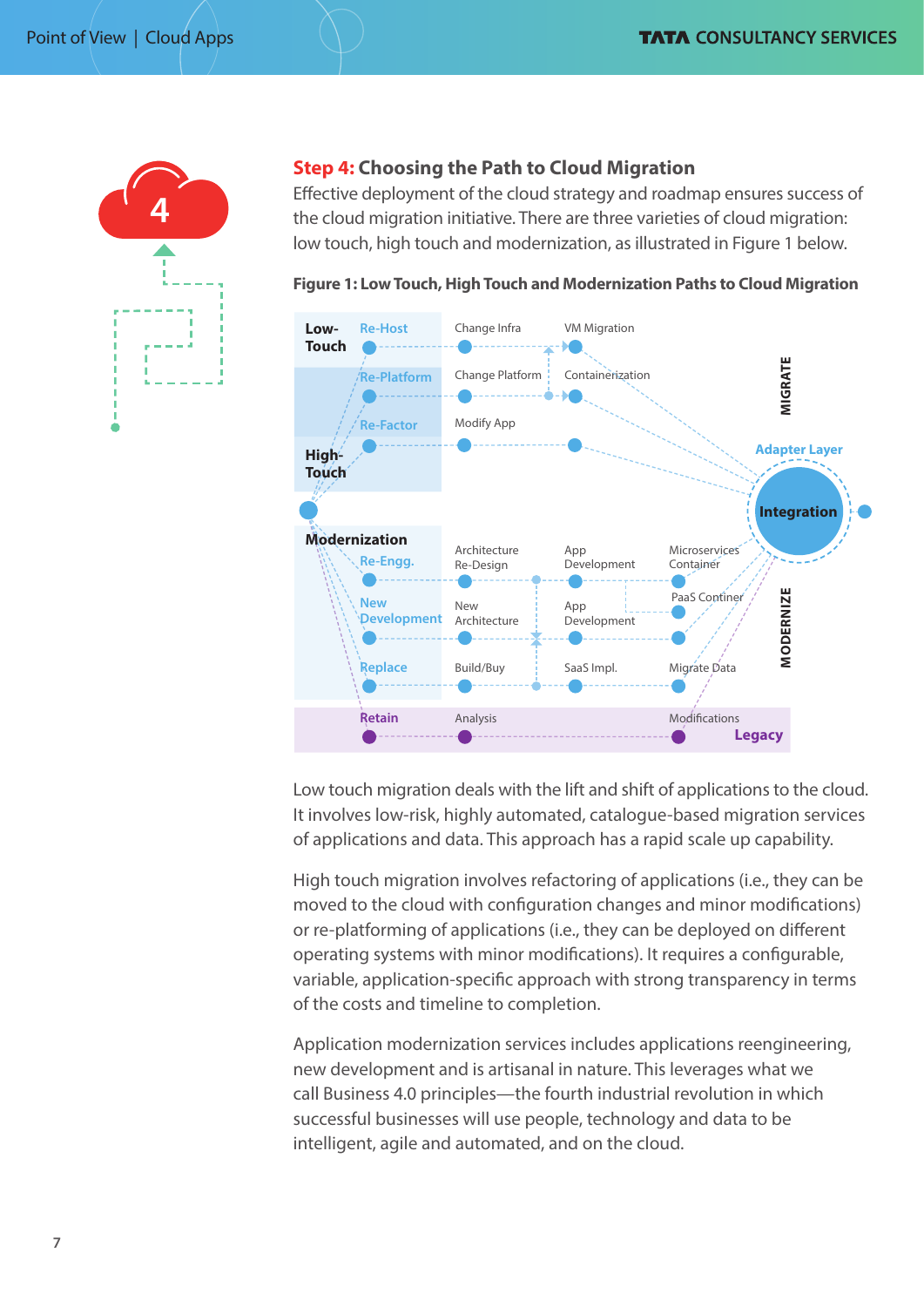

#### **Step 4: Choosing the Path to Cloud Migration**

Effective deployment of the cloud strategy and roadmap ensures success of the cloud migration initiative. There are three varieties of cloud migration: low touch, high touch and modernization, as illustrated in Figure 1 below.

**Figure 1: Low Touch, High Touch and Modernization Paths to Cloud Migration**



Low touch migration deals with the lift and shift of applications to the cloud. It involves low-risk, highly automated, catalogue-based migration services of applications and data. This approach has a rapid scale up capability.

High touch migration involves refactoring of applications (i.e., they can be moved to the cloud with configuration changes and minor modifications) or re-platforming of applications (i.e., they can be deployed on different operating systems with minor modifications). It requires a configurable, variable, application-specific approach with strong transparency in terms of the costs and timeline to completion.

Application modernization services includes applications reengineering, new development and is artisanal in nature. This leverages what we call Business 4.0 principles—the fourth industrial revolution in which successful businesses will use people, technology and data to be intelligent, agile and automated, and on the cloud.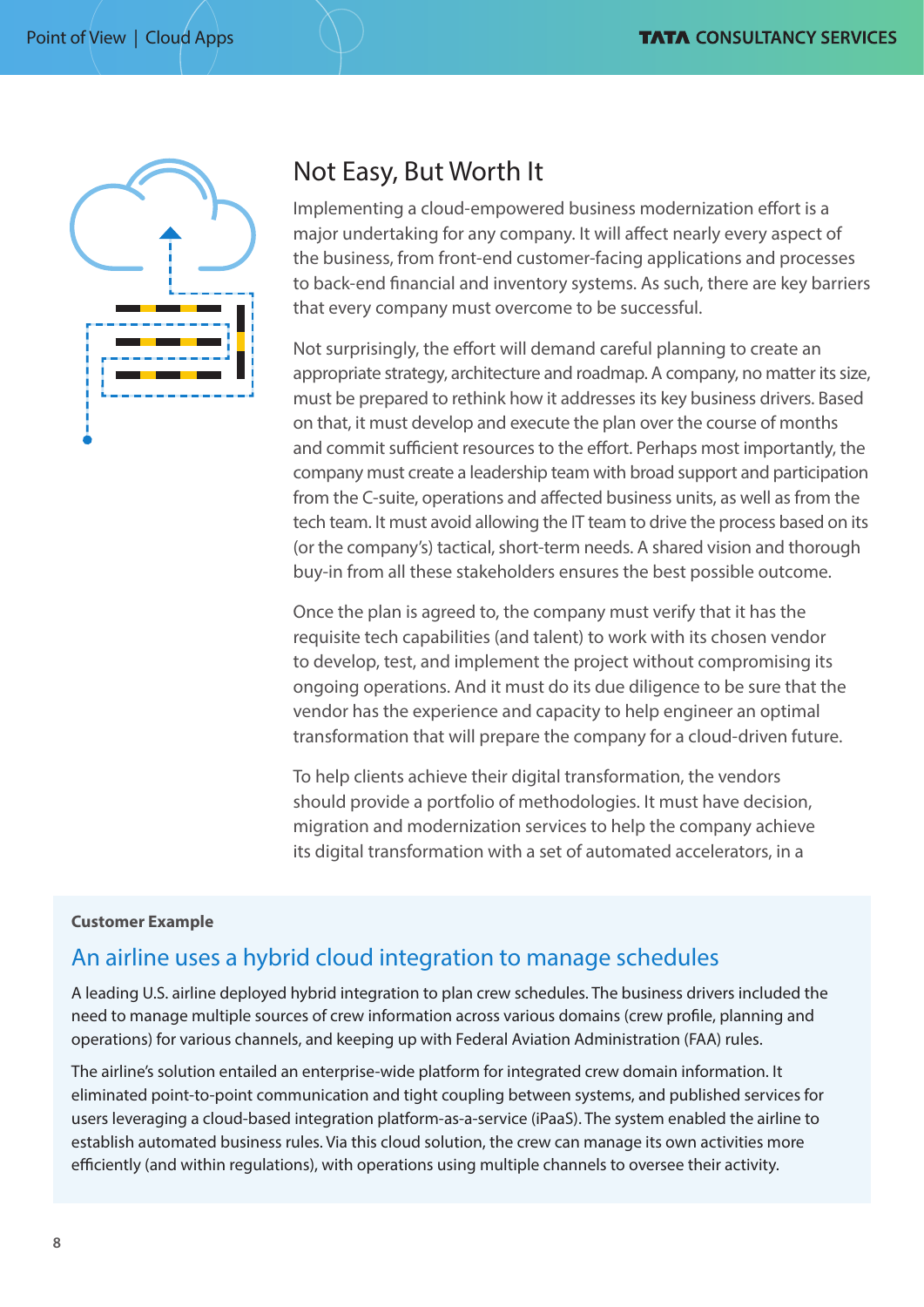

# Not Easy, But Worth It

Implementing a cloud-empowered business modernization effort is a major undertaking for any company. It will affect nearly every aspect of the business, from front-end customer-facing applications and processes to back-end financial and inventory systems. As such, there are key barriers that every company must overcome to be successful.

Not surprisingly, the effort will demand careful planning to create an appropriate strategy, architecture and roadmap. A company, no matter its size, must be prepared to rethink how it addresses its key business drivers. Based on that, it must develop and execute the plan over the course of months and commit sufficient resources to the effort. Perhaps most importantly, the company must create a leadership team with broad support and participation from the C-suite, operations and affected business units, as well as from the tech team. It must avoid allowing the IT team to drive the process based on its (or the company's) tactical, short-term needs. A shared vision and thorough buy-in from all these stakeholders ensures the best possible outcome.

Once the plan is agreed to, the company must verify that it has the requisite tech capabilities (and talent) to work with its chosen vendor to develop, test, and implement the project without compromising its ongoing operations. And it must do its due diligence to be sure that the vendor has the experience and capacity to help engineer an optimal transformation that will prepare the company for a cloud-driven future.

To help clients achieve their digital transformation, the vendors should provide a portfolio of methodologies. It must have decision, migration and modernization services to help the company achieve its digital transformation with a set of automated accelerators, in a

#### **Customer Example**

# An airline uses a hybrid cloud integration to manage schedules

A leading U.S. airline deployed hybrid integration to plan crew schedules. The business drivers included the need to manage multiple sources of crew information across various domains (crew profile, planning and operations) for various channels, and keeping up with Federal Aviation Administration (FAA) rules.

The airline's solution entailed an enterprise-wide platform for integrated crew domain information. It eliminated point-to-point communication and tight coupling between systems, and published services for users leveraging a cloud-based integration platform-as-a-service (iPaaS). The system enabled the airline to establish automated business rules. Via this cloud solution, the crew can manage its own activities more efficiently (and within regulations), with operations using multiple channels to oversee their activity.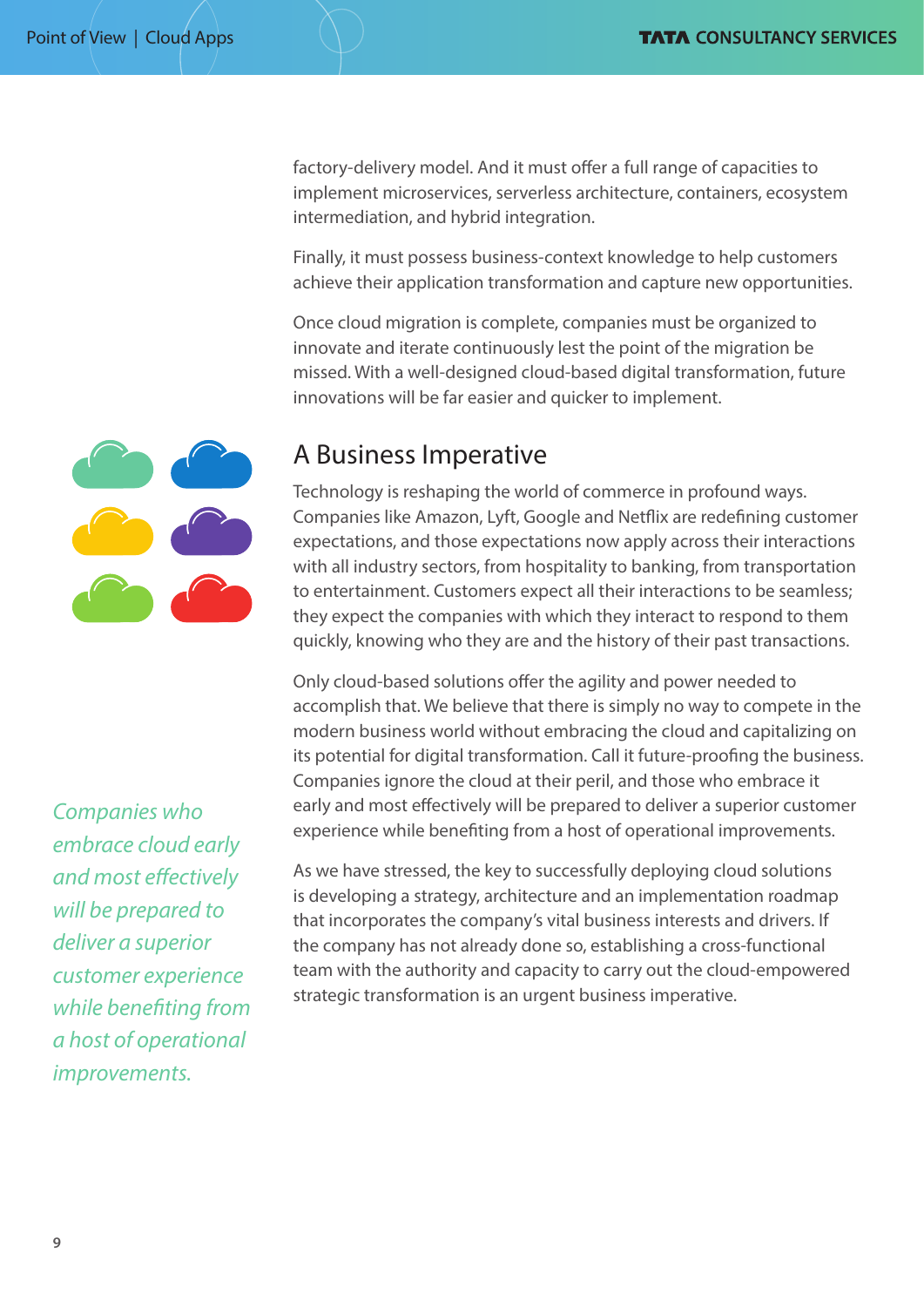factory-delivery model. And it must offer a full range of capacities to implement microservices, serverless architecture, containers, ecosystem intermediation, and hybrid integration.

Finally, it must possess business-context knowledge to help customers achieve their application transformation and capture new opportunities.

Once cloud migration is complete, companies must be organized to innovate and iterate continuously lest the point of the migration be missed. With a well-designed cloud-based digital transformation, future innovations will be far easier and quicker to implement.

# A Business Imperative

Technology is reshaping the world of commerce in profound ways. Companies like Amazon, Lyft, Google and Netflix are redefining customer expectations, and those expectations now apply across their interactions with all industry sectors, from hospitality to banking, from transportation to entertainment. Customers expect all their interactions to be seamless; they expect the companies with which they interact to respond to them quickly, knowing who they are and the history of their past transactions.

Only cloud-based solutions offer the agility and power needed to accomplish that. We believe that there is simply no way to compete in the modern business world without embracing the cloud and capitalizing on its potential for digital transformation. Call it future-proofing the business. Companies ignore the cloud at their peril, and those who embrace it early and most effectively will be prepared to deliver a superior customer experience while benefiting from a host of operational improvements.

As we have stressed, the key to successfully deploying cloud solutions is developing a strategy, architecture and an implementation roadmap that incorporates the company's vital business interests and drivers. If the company has not already done so, establishing a cross-functional team with the authority and capacity to carry out the cloud-empowered strategic transformation is an urgent business imperative.

*Companies who embrace cloud early and most effectively will be prepared to deliver a superior customer experience while benefiting from a host of operational improvements.*